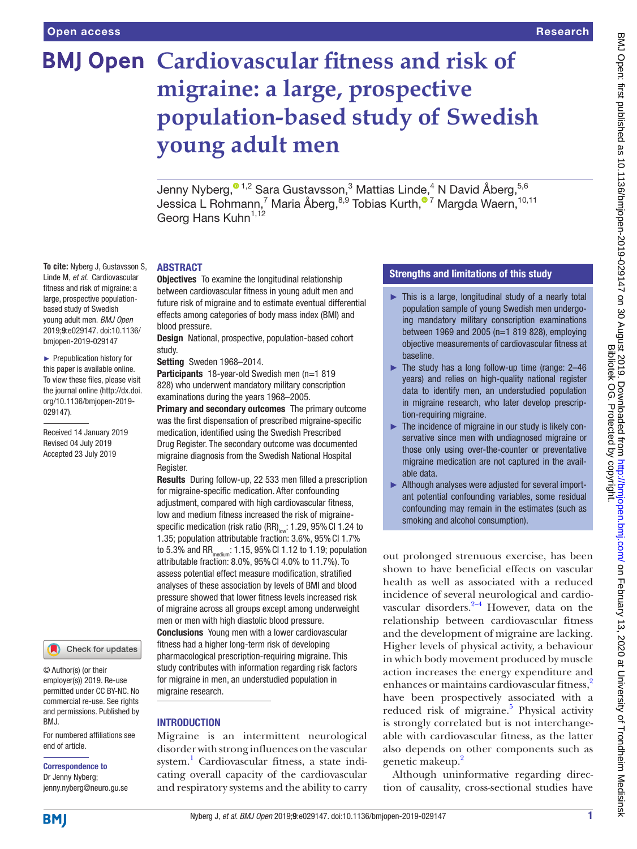Linde M, *et al*. Cardiovascular fitness and risk of migraine: a large, prospective populationbased study of Swedish young adult men. *BMJ Open* 2019;9:e029147. doi:10.1136/ bmjopen-2019-029147 ► Prepublication history for this paper is available online. To view these files, please visit the journal online (http://dx.doi. org/10.1136/bmjopen-2019-

029147).

Received 14 January 2019 Revised 04 July 2019 Accepted 23 July 2019

# **BMJ Open Cardiovascular fitness and risk of migraine: a large, prospective population-based study of Swedish young adult men**

Jenny Nyberg,<sup>® 1,2</sup> Sara Gustavsson,<sup>3</sup> Mattias Linde,<sup>4</sup> N David Åberg,<sup>5,6</sup> Jessica L Rohmann[,](http://orcid.org/0000-0001-7169-2620)<sup>7</sup> Maria Åberg,<sup>8,9</sup> Tobias Kurth,<sup>® 7</sup> Margda Waern,<sup>10,11</sup> Georg Hans Kuhn<sup>1,12</sup>

#### **To cite:** Nyberg J, Gustavsson S, **ABSTRACT**

**Objectives** To examine the longitudinal relationship between cardiovascular fitness in young adult men and future risk of migraine and to estimate eventual differential effects among categories of body mass index (BMI) and blood pressure.

Design National, prospective, population-based cohort study.

Setting Sweden 1968-2014.

Participants 18-year-old Swedish men (n=1 819 828) who underwent mandatory military conscription examinations during the years 1968–2005.

Primary and secondary outcomes The primary outcome was the first dispensation of prescribed migraine-specific medication, identified using the Swedish Prescribed Drug Register. The secondary outcome was documented migraine diagnosis from the Swedish National Hospital Register.

Results During follow-up, 22 533 men filled a prescription for migraine-specific medication. After confounding adjustment, compared with high cardiovascular fitness, low and medium fitness increased the risk of migrainespecific medication (risk ratio (RR) $_{low}$ : 1.29, 95% Cl 1.24 to 1.35; population attributable fraction: 3.6%, 95%CI 1.7% to 5.3% and RR<sub>medium</sub>: 1.15, 95% CI 1.12 to 1.19; population attributable fraction: 8.0%, 95%CI 4.0% to 11.7%). To assess potential effect measure modification, stratified analyses of these association by levels of BMI and blood pressure showed that lower fitness levels increased risk of migraine across all groups except among underweight men or men with high diastolic blood pressure. Conclusions Young men with a lower cardiovascular fitness had a higher long-term risk of developing pharmacological prescription-requiring migraine. This study contributes with information regarding risk factors for migraine in men, an understudied population in migraine research.

#### **INTRODUCTION**

Migraine is an intermittent neurological disorder with strong influences on the vascular system.<sup>[1](#page-7-0)</sup> Cardiovascular fitness, a state indicating overall capacity of the cardiovascular and respiratory systems and the ability to carry

#### Strengths and limitations of this study

- $\blacktriangleright$  This is a large, longitudinal study of a nearly total population sample of young Swedish men undergoing mandatory military conscription examinations between 1969 and 2005 (n=1 819 828), employing objective measurements of cardiovascular fitness at baseline.
- $\blacktriangleright$  The study has a long follow-up time (range: 2-46 years) and relies on high-quality national register data to identify men, an understudied population in migraine research, who later develop prescription-requiring migraine.
- ► The incidence of migraine in our study is likely conservative since men with undiagnosed migraine or those only using over-the-counter or preventative migraine medication are not captured in the available data.
- ► Although analyses were adjusted for several important potential confounding variables, some residual confounding may remain in the estimates (such as smoking and alcohol consumption).

out prolonged strenuous exercise, has been shown to have beneficial effects on vascular health as well as associated with a reduced incidence of several neurological and cardiovascular disorders. $2-4$  However, data on the relationship between cardiovascular fitness and the development of migraine are lacking. Higher levels of physical activity, a behaviour in which body movement produced by muscle action increases the energy expenditure and enhances or maintains cardiovascular fitness,<sup>2</sup> have been prospectively associated with a reduced risk of migraine.<sup>5</sup> Physical activity is strongly correlated but is not interchangeable with cardiovascular fitness, as the latter also depends on other components such as genetic makeup.<sup>[2](#page-7-1)</sup>

Although uninformative regarding direction of causality, cross-sectional studies have

## © Author(s) (or their

employer(s)) 2019. Re-use permitted under CC BY-NC. No commercial re-use. See rights and permissions. Published by BMJ.

Check for updates

For numbered affiliations see end of article.

## Correspondence to

Dr Jenny Nyberg; jenny.nyberg@neuro.gu.se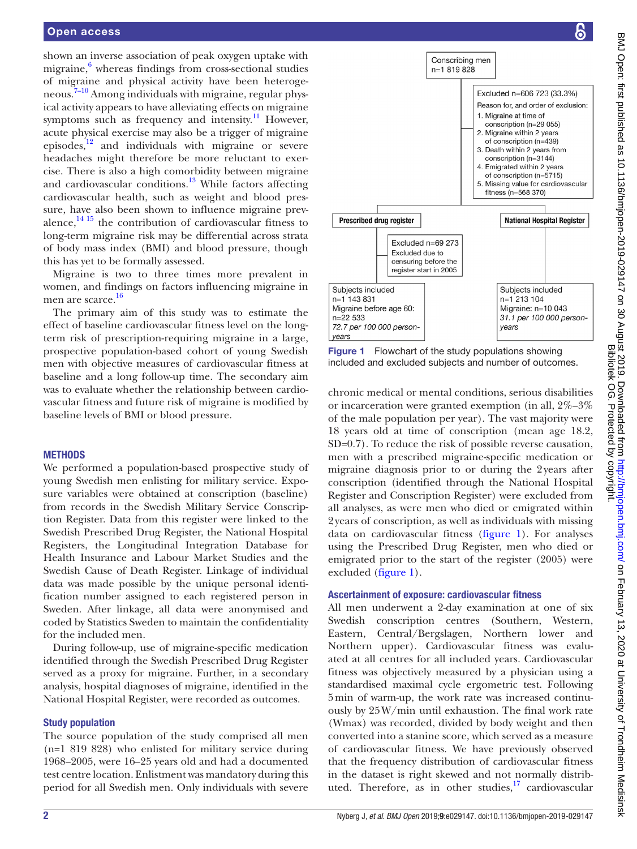shown an inverse association of peak oxygen uptake with migraine,<sup>6</sup> whereas findings from cross-sectional studies of migraine and physical activity have been heterogeneous.<sup>7-10</sup> Among individuals with migraine, regular physical activity appears to have alleviating effects on migraine symptoms such as frequency and intensity.<sup>11</sup> However, acute physical exercise may also be a trigger of migraine episodes, $\frac{12}{12}$  and individuals with migraine or severe headaches might therefore be more reluctant to exercise. There is also a high comorbidity between migraine and cardiovascular conditions.<sup>13</sup> While factors affecting cardiovascular health, such as weight and blood pressure, have also been shown to influence migraine prevalence, $14 \frac{15}{15}$  the contribution of cardiovascular fitness to long-term migraine risk may be differential across strata of body mass index (BMI) and blood pressure, though this has yet to be formally assessed.

Migraine is two to three times more prevalent in women, and findings on factors influencing migraine in men are scarce.<sup>[16](#page-8-7)</sup>

The primary aim of this study was to estimate the effect of baseline cardiovascular fitness level on the longterm risk of prescription-requiring migraine in a large, prospective population-based cohort of young Swedish men with objective measures of cardiovascular fitness at baseline and a long follow-up time. The secondary aim was to evaluate whether the relationship between cardiovascular fitness and future risk of migraine is modified by baseline levels of BMI or blood pressure.

#### **METHODS**

We performed a population-based prospective study of young Swedish men enlisting for military service. Exposure variables were obtained at conscription (baseline) from records in the Swedish Military Service Conscription Register. Data from this register were linked to the Swedish Prescribed Drug Register, the National Hospital Registers, the Longitudinal Integration Database for Health Insurance and Labour Market Studies and the Swedish Cause of Death Register. Linkage of individual data was made possible by the unique personal identification number assigned to each registered person in Sweden. After linkage, all data were anonymised and coded by Statistics Sweden to maintain the confidentiality for the included men.

During follow-up, use of migraine-specific medication identified through the Swedish Prescribed Drug Register served as a proxy for migraine. Further, in a secondary analysis, hospital diagnoses of migraine, identified in the National Hospital Register, were recorded as outcomes.

#### Study population

The source population of the study comprised all men (n=1 819 828) who enlisted for military service during 1968–2005, were 16–25 years old and had a documented test centre location. Enlistment was mandatory during this period for all Swedish men. Only individuals with severe



<span id="page-1-0"></span>Figure 1 Flowchart of the study populations showing included and excluded subjects and number of outcomes.

chronic medical or mental conditions, serious disabilities or incarceration were granted exemption (in all, 2%–3% of the male population per year). The vast majority were 18 years old at time of conscription (mean age 18.2, SD=0.7). To reduce the risk of possible reverse causation, men with a prescribed migraine-specific medication or migraine diagnosis prior to or during the 2years after conscription (identified through the National Hospital Register and Conscription Register) were excluded from all analyses, as were men who died or emigrated within 2years of conscription, as well as individuals with missing data on cardiovascular fitness [\(figure](#page-1-0) 1). For analyses using the Prescribed Drug Register, men who died or emigrated prior to the start of the register (2005) were excluded ([figure](#page-1-0) 1).

#### Ascertainment of exposure: cardiovascular fitness

All men underwent a 2-day examination at one of six Swedish conscription centres (Southern, Western, Eastern, Central/Bergslagen, Northern lower and Northern upper). Cardiovascular fitness was evaluated at all centres for all included years. Cardiovascular fitness was objectively measured by a physician using a standardised maximal cycle ergometric test. Following 5min of warm-up, the work rate was increased continuously by 25W/min until exhaustion. The final work rate (Wmax) was recorded, divided by body weight and then converted into a stanine score, which served as a measure of cardiovascular fitness. We have previously observed that the frequency distribution of cardiovascular fitness in the dataset is right skewed and not normally distributed. Therefore, as in other studies, $17$  cardiovascular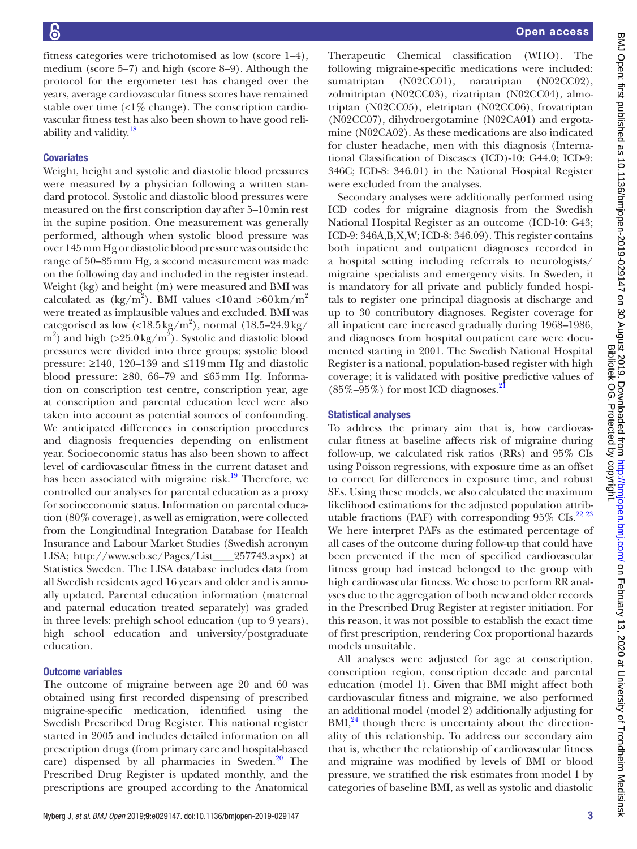fitness categories were trichotomised as low (score 1–4), medium (score 5–7) and high (score 8–9). Although the protocol for the ergometer test has changed over the years, average cardiovascular fitness scores have remained stable over time  $\langle 1\%$  change). The conscription cardiovascular fitness test has also been shown to have good reli-ability and validity.<sup>[18](#page-8-9)</sup>

#### **Covariates**

Weight, height and systolic and diastolic blood pressures were measured by a physician following a written standard protocol. Systolic and diastolic blood pressures were measured on the first conscription day after 5–10min rest in the supine position. One measurement was generally performed, although when systolic blood pressure was over 145mm Hg or diastolic blood pressure was outside the range of 50–85mm Hg, a second measurement was made on the following day and included in the register instead. Weight (kg) and height (m) were measured and BMI was calculated as  $(\text{kg/m}^2)$ . BMI values <10 and >60 km/m<sup>2</sup> were treated as implausible values and excluded. BMI was categorised as low  $\left($ <18.5 kg/m<sup>2</sup> $\right)$ , normal  $\left(18.5-24.9\,\mathrm{kg}\right)$  $(m^2)$  and high (>25.0 kg/m<sup>2</sup>). Systolic and diastolic blood pressures were divided into three groups; systolic blood pressure: ≥140, 120–139 and ≤119mm Hg and diastolic blood pressure:  $≥80$ , 66–79 and ≤65mm Hg. Information on conscription test centre, conscription year, age at conscription and parental education level were also taken into account as potential sources of confounding. We anticipated differences in conscription procedures and diagnosis frequencies depending on enlistment year. Socioeconomic status has also been shown to affect level of cardiovascular fitness in the current dataset and has been associated with migraine risk.<sup>19</sup> Therefore, we controlled our analyses for parental education as a proxy for socioeconomic status. Information on parental education (80% coverage), as well as emigration, were collected from the Longitudinal Integration Database for Health Insurance and Labour Market Studies (Swedish acronym LISA; [http://www.scb.se/Pages/List\\_\\_\\_\\_257743.aspx](http://www.scb.se/Pages/List____257743.aspx)) at Statistics Sweden. The LISA database includes data from all Swedish residents aged 16 years and older and is annually updated. Parental education information (maternal and paternal education treated separately) was graded in three levels: prehigh school education (up to 9 years), high school education and university/postgraduate education.

#### Outcome variables

The outcome of migraine between age 20 and 60 was obtained using first recorded dispensing of prescribed migraine-specific medication, identified using the Swedish Prescribed Drug Register. This national register started in 2005 and includes detailed information on all prescription drugs (from primary care and hospital-based care) dispensed by all pharmacies in Sweden. $20$  The Prescribed Drug Register is updated monthly, and the prescriptions are grouped according to the Anatomical

Therapeutic Chemical classification (WHO). The following migraine-specific medications were included: sumatriptan (N02CC01), naratriptan (N02CC02), zolmitriptan (N02CC03), rizatriptan (N02CC04), almotriptan (N02CC05), eletriptan (N02CC06), frovatriptan (N02CC07), dihydroergotamine (N02CA01) and ergotamine (N02CA02). As these medications are also indicated for cluster headache, men with this diagnosis (International Classification of Diseases (ICD)-10: G44.0; ICD-9: 346C; ICD-8: 346.01) in the National Hospital Register were excluded from the analyses.

Secondary analyses were additionally performed using ICD codes for migraine diagnosis from the Swedish National Hospital Register as an outcome (ICD-10: G43; ICD-9: 346A,B,X,W; ICD-8: 346.09). This register contains both inpatient and outpatient diagnoses recorded in a hospital setting including referrals to neurologists/ migraine specialists and emergency visits. In Sweden, it is mandatory for all private and publicly funded hospitals to register one principal diagnosis at discharge and up to 30 contributory diagnoses. Register coverage for all inpatient care increased gradually during 1968–1986, and diagnoses from hospital outpatient care were documented starting in 2001. The Swedish National Hospital Register is a national, population-based register with high coverage; it is validated with positive predictive values of  $(85\% - 95\%)$  for most ICD diagnoses.<sup>21</sup>

#### Statistical analyses

To address the primary aim that is, how cardiovascular fitness at baseline affects risk of migraine during follow-up, we calculated risk ratios (RRs) and 95% CIs using Poisson regressions, with exposure time as an offset to correct for differences in exposure time, and robust SEs. Using these models, we also calculated the maximum likelihood estimations for the adjusted population attributable fractions (PAF) with corresponding  $95\%$  CIs.<sup>[22 23](#page-8-13)</sup> We here interpret PAFs as the estimated percentage of all cases of the outcome during follow-up that could have been prevented if the men of specified cardiovascular fitness group had instead belonged to the group with high cardiovascular fitness. We chose to perform RR analyses due to the aggregation of both new and older records in the Prescribed Drug Register at register initiation. For this reason, it was not possible to establish the exact time of first prescription, rendering Cox proportional hazards models unsuitable.

All analyses were adjusted for age at conscription, conscription region, conscription decade and parental education (model 1). Given that BMI might affect both cardiovascular fitness and migraine, we also performed an additional model (model 2) additionally adjusting for  $BMI<sub>1</sub><sup>24</sup>$  $BMI<sub>1</sub><sup>24</sup>$  $BMI<sub>1</sub><sup>24</sup>$  though there is uncertainty about the directionality of this relationship. To address our secondary aim that is, whether the relationship of cardiovascular fitness and migraine was modified by levels of BMI or blood pressure, we stratified the risk estimates from model 1 by categories of baseline BMI, as well as systolic and diastolic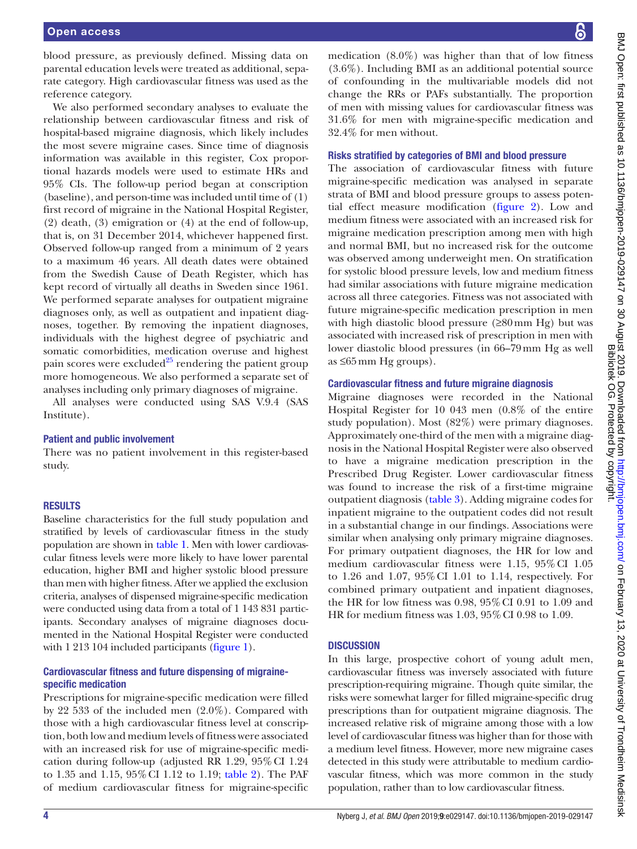blood pressure, as previously defined. Missing data on parental education levels were treated as additional, separate category. High cardiovascular fitness was used as the reference category.

We also performed secondary analyses to evaluate the relationship between cardiovascular fitness and risk of hospital-based migraine diagnosis, which likely includes the most severe migraine cases. Since time of diagnosis information was available in this register, Cox proportional hazards models were used to estimate HRs and 95% CIs. The follow-up period began at conscription (baseline), and person-time was included until time of (1) first record of migraine in the National Hospital Register, (2) death, (3) emigration or (4) at the end of follow-up, that is, on 31 December 2014, whichever happened first. Observed follow-up ranged from a minimum of 2 years to a maximum 46 years. All death dates were obtained from the Swedish Cause of Death Register, which has kept record of virtually all deaths in Sweden since 1961. We performed separate analyses for outpatient migraine diagnoses only, as well as outpatient and inpatient diagnoses, together. By removing the inpatient diagnoses, individuals with the highest degree of psychiatric and somatic comorbidities, medication overuse and highest pain scores were excluded<sup>25</sup> rendering the patient group more homogeneous. We also performed a separate set of analyses including only primary diagnoses of migraine.

All analyses were conducted using SAS V.9.4 (SAS Institute).

#### Patient and public involvement

There was no patient involvement in this register-based study.

#### **RESULTS**

Baseline characteristics for the full study population and stratified by levels of cardiovascular fitness in the study population are shown in [table](#page-4-0) 1. Men with lower cardiovascular fitness levels were more likely to have lower parental education, higher BMI and higher systolic blood pressure than men with higher fitness. After we applied the exclusion criteria, analyses of dispensed migraine-specific medication were conducted using data from a total of 1 143 831 participants. Secondary analyses of migraine diagnoses documented in the National Hospital Register were conducted with 1 213 104 included participants ([figure](#page-1-0) 1).

#### Cardiovascular fitness and future dispensing of migrainespecific medication

Prescriptions for migraine-specific medication were filled by 22 533 of the included men (2.0%). Compared with those with a high cardiovascular fitness level at conscription, both low and medium levels of fitness were associated with an increased risk for use of migraine-specific medication during follow-up (adjusted RR 1.29, 95%CI 1.24 to 1.35 and 1.15, 95%CI 1.12 to 1.19; [table](#page-5-0) 2). The PAF of medium cardiovascular fitness for migraine-specific

medication  $(8.0\%)$  was higher than that of low fitness (3.6%). Including BMI as an additional potential source of confounding in the multivariable models did not change the RRs or PAFs substantially. The proportion of men with missing values for cardiovascular fitness was 31.6% for men with migraine-specific medication and 32.4% for men without.

#### Risks stratified by categories of BMI and blood pressure

The association of cardiovascular fitness with future migraine-specific medication was analysed in separate strata of BMI and blood pressure groups to assess potential effect measure modification ([figure](#page-5-1) 2). Low and medium fitness were associated with an increased risk for migraine medication prescription among men with high and normal BMI, but no increased risk for the outcome was observed among underweight men. On stratification for systolic blood pressure levels, low and medium fitness had similar associations with future migraine medication across all three categories. Fitness was not associated with future migraine-specific medication prescription in men with high diastolic blood pressure (≥80mm Hg) but was associated with increased risk of prescription in men with lower diastolic blood pressures (in 66–79mm Hg as well as ≤65mm Hg groups).

#### Cardiovascular fitness and future migraine diagnosis

Migraine diagnoses were recorded in the National Hospital Register for 10 043 men (0.8% of the entire study population). Most (82%) were primary diagnoses. Approximately one-third of the men with a migraine diagnosis in the National Hospital Register were also observed to have a migraine medication prescription in the Prescribed Drug Register. Lower cardiovascular fitness was found to increase the risk of a first-time migraine outpatient diagnosis [\(table](#page-5-2) 3). Adding migraine codes for inpatient migraine to the outpatient codes did not result in a substantial change in our findings. Associations were similar when analysing only primary migraine diagnoses. For primary outpatient diagnoses, the HR for low and medium cardiovascular fitness were 1.15, 95%CI 1.05 to 1.26 and 1.07, 95%CI 1.01 to 1.14, respectively. For combined primary outpatient and inpatient diagnoses, the HR for low fitness was 0.98, 95%CI 0.91 to 1.09 and HR for medium fitness was 1.03, 95%CI 0.98 to 1.09.

#### **DISCUSSION**

In this large, prospective cohort of young adult men, cardiovascular fitness was inversely associated with future prescription-requiring migraine. Though quite similar, the risks were somewhat larger for filled migraine-specific drug prescriptions than for outpatient migraine diagnosis. The increased relative risk of migraine among those with a low level of cardiovascular fitness was higher than for those with a medium level fitness. However, more new migraine cases detected in this study were attributable to medium cardiovascular fitness, which was more common in the study population, rather than to low cardiovascular fitness.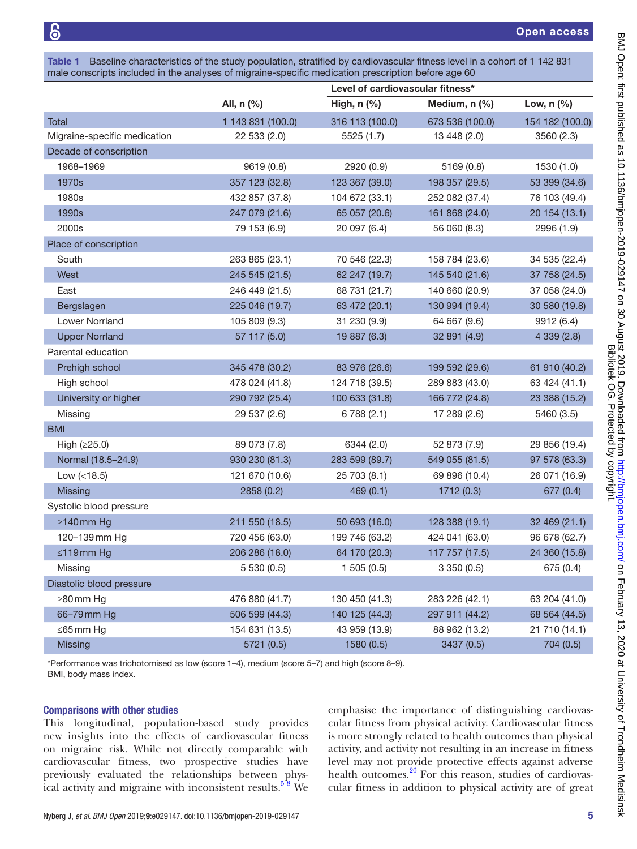<span id="page-4-0"></span>

| Table 1 Baseline characteristics of the study population, stratified by cardiovascular fitness level in a cohort of 1 142 831 |
|-------------------------------------------------------------------------------------------------------------------------------|
| male conscripts included in the analyses of migraine-specific medication prescription before age 60                           |

|                              |                   | Level of cardiovascular fitness* |                 |                 |
|------------------------------|-------------------|----------------------------------|-----------------|-----------------|
|                              | All, n (%)        | High, $n$ $%$                    | Medium, n (%)   | Low, $n$ (%)    |
| Total                        | 1 143 831 (100.0) | 316 113 (100.0)                  | 673 536 (100.0) | 154 182 (100.0) |
| Migraine-specific medication | 22 533 (2.0)      | 5525 (1.7)                       | 13 448 (2.0)    | 3560 (2.3)      |
| Decade of conscription       |                   |                                  |                 |                 |
| 1968-1969                    | 9619 (0.8)        | 2920 (0.9)                       | 5169 (0.8)      | 1530 (1.0)      |
| 1970s                        | 357 123 (32.8)    | 123 367 (39.0)                   | 198 357 (29.5)  | 53 399 (34.6)   |
| 1980s                        | 432 857 (37.8)    | 104 672 (33.1)                   | 252 082 (37.4)  | 76 103 (49.4)   |
| 1990s                        | 247 079 (21.6)    | 65 057 (20.6)                    | 161 868 (24.0)  | 20 154 (13.1)   |
| 2000s                        | 79 153 (6.9)      | 20 097 (6.4)                     | 56 060 (8.3)    | 2996 (1.9)      |
| Place of conscription        |                   |                                  |                 |                 |
| South                        | 263 865 (23.1)    | 70 546 (22.3)                    | 158 784 (23.6)  | 34 535 (22.4)   |
| West                         | 245 545 (21.5)    | 62 247 (19.7)                    | 145 540 (21.6)  | 37 758 (24.5)   |
| East                         | 246 449 (21.5)    | 68 731 (21.7)                    | 140 660 (20.9)  | 37 058 (24.0)   |
| Bergslagen                   | 225 046 (19.7)    | 63 472 (20.1)                    | 130 994 (19.4)  | 30 580 (19.8)   |
| <b>Lower Norrland</b>        | 105 809 (9.3)     | 31 230 (9.9)                     | 64 667 (9.6)    | 9912 (6.4)      |
| <b>Upper Norrland</b>        | 57 117 (5.0)      | 19 887 (6.3)                     | 32 891 (4.9)    | 4 339 (2.8)     |
| Parental education           |                   |                                  |                 |                 |
| Prehigh school               | 345 478 (30.2)    | 83 976 (26.6)                    | 199 592 (29.6)  | 61 910 (40.2)   |
| High school                  | 478 024 (41.8)    | 124 718 (39.5)                   | 289 883 (43.0)  | 63 424 (41.1)   |
| University or higher         | 290 792 (25.4)    | 100 633 (31.8)                   | 166 772 (24.8)  | 23 388 (15.2)   |
| Missing                      | 29 537 (2.6)      | 6788(2.1)                        | 17 289 (2.6)    | 5460 (3.5)      |
| <b>BMI</b>                   |                   |                                  |                 |                 |
| High $(≥25.0)$               | 89 073 (7.8)      | 6344 (2.0)                       | 52 873 (7.9)    | 29 856 (19.4)   |
| Normal (18.5-24.9)           | 930 230 (81.3)    | 283 599 (89.7)                   | 549 055 (81.5)  | 97 578 (63.3)   |
| Low $(<18.5)$                | 121 670 (10.6)    | 25 703 (8.1)                     | 69 896 (10.4)   | 26 071 (16.9)   |
| Missing                      | 2858 (0.2)        | 469(0.1)                         | 1712 (0.3)      | 677 (0.4)       |
| Systolic blood pressure      |                   |                                  |                 |                 |
| $\geq$ 140 mm Hg             | 211 550 (18.5)    | 50 693 (16.0)                    | 128 388 (19.1)  | 32 469 (21.1)   |
| 120-139mm Hg                 | 720 456 (63.0)    | 199 746 (63.2)                   | 424 041 (63.0)  | 96 678 (62.7)   |
| $\leq 119$ mm Hg             | 206 286 (18.0)    | 64 170 (20.3)                    | 117 757 (17.5)  | 24 360 (15.8)   |
| Missing                      | 5 530 (0.5)       | 1505(0.5)                        | 3350(0.5)       | 675 (0.4)       |
| Diastolic blood pressure     |                   |                                  |                 |                 |
| ≥80mm Hg                     | 476 880 (41.7)    | 130 450 (41.3)                   | 283 226 (42.1)  | 63 204 (41.0)   |
| 66-79 mm Hg                  | 506 599 (44.3)    | 140 125 (44.3)                   | 297 911 (44.2)  | 68 564 (44.5)   |
| $\leq$ 65 mm Hg              | 154 631 (13.5)    | 43 959 (13.9)                    | 88 962 (13.2)   | 21 710 (14.1)   |
| Missing                      | 5721 (0.5)        | 1580 (0.5)                       | 3437 (0.5)      | 704 (0.5)       |

\*Performance was trichotomised as low (score 1–4), medium (score 5–7) and high (score 8–9).

BMI, body mass index.

#### Comparisons with other studies

This longitudinal, population-based study provides new insights into the effects of cardiovascular fitness on migraine risk. While not directly comparable with cardiovascular fitness, two prospective studies have previously evaluated the relationships between physical activity and migraine with inconsistent results. $58$  We

emphasise the importance of distinguishing cardiovascular fitness from physical activity. Cardiovascular fitness is more strongly related to health outcomes than physical activity, and activity not resulting in an increase in fitness level may not provide protective effects against adverse health outcomes.<sup>26</sup> For this reason, studies of cardiovascular fitness in addition to physical activity are of great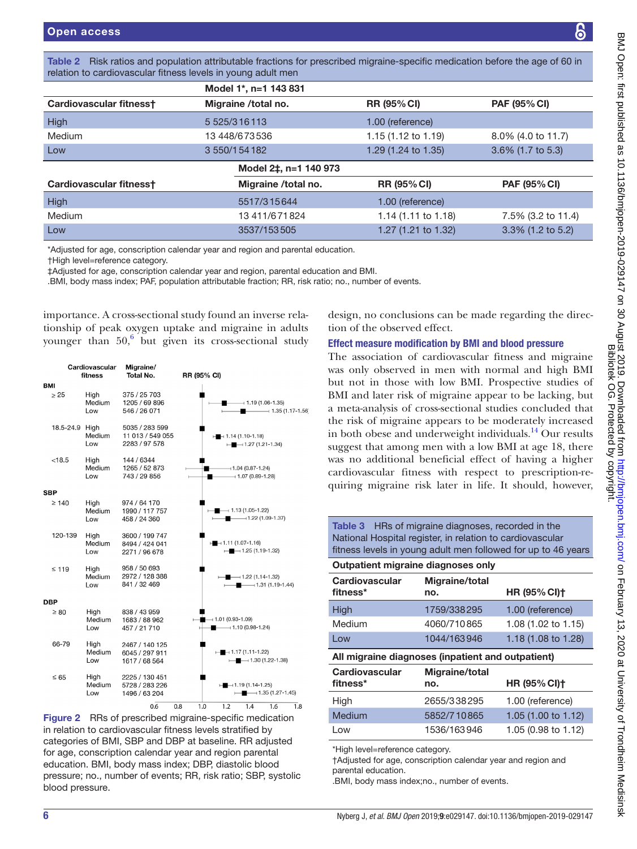<span id="page-5-0"></span>

|                                        | Model 1*, n=1 143 831                                                                                                                                                     |                                |                     |
|----------------------------------------|---------------------------------------------------------------------------------------------------------------------------------------------------------------------------|--------------------------------|---------------------|
| Cardiovascular fitness+                | Migraine /total no.                                                                                                                                                       | <b>RR (95% CI)</b>             | <b>PAF (95% CI)</b> |
| <b>High</b>                            | 5 525/3 16 113                                                                                                                                                            | 1.00 (reference)               |                     |
| Medium                                 | 13 448/673536                                                                                                                                                             | 1.15 (1.12 to 1.19)            | 8.0% (4.0 to 11.7)  |
| Low                                    | 3 550/1 54 182                                                                                                                                                            | 1.29 (1.24 to 1.35)            | 3.6% (1.7 to 5.3)   |
|                                        | Model 2‡, n=1 140 973                                                                                                                                                     |                                |                     |
| Cardiovascular fitness+                | Migraine /total no.                                                                                                                                                       | <b>RR (95% CI)</b>             | <b>PAF (95% CI)</b> |
| <b>High</b>                            | 5517/315644                                                                                                                                                               | 1.00 (reference)               |                     |
| Medium                                 | 13 411/6 71 824                                                                                                                                                           | 1.14 $(1.11 \text{ to } 1.18)$ | 7.5% (3.2 to 11.4)  |
| Low                                    | 3537/153505                                                                                                                                                               | 1.27 (1.21 to 1.32)            | 3.3% (1.2 to 5.2)   |
| <b>tHigh level=reference category.</b> | *Adjusted for age, conscription calendar year and region and parental education.<br>‡Adjusted for age, conscription calendar year and region, parental education and BMI. |                                |                     |

importance. A cross-sectional study found an inverse relationship of peak oxygen uptake and migraine in adults younger than  $50<sup>6</sup>$  $50<sup>6</sup>$  $50<sup>6</sup>$  but given its cross-sectional study

| Cardiovascular<br>fitness |  | Migraine/<br>Total No. | RR (95% CI)                                         |     |     |                         |                                                                         |                     |     |  |
|---------------------------|--|------------------------|-----------------------------------------------------|-----|-----|-------------------------|-------------------------------------------------------------------------|---------------------|-----|--|
| BMI                       |  |                        |                                                     |     |     |                         |                                                                         |                     |     |  |
| $\geq 25$                 |  | High<br>Medium<br>Low  | 375 / 25 703<br>1205 / 69 896<br>546 / 26 071       |     |     |                         | $-1.19(1.06-1.35)$                                                      | $-$ 1.35 (1.17-1.56 |     |  |
| 18.5-24.9                 |  | High<br>Medium<br>Low  | 5035 / 283 599<br>11 013 / 549 055<br>2283 / 97 578 |     |     |                         | $\rightarrow$ 1.14 (1.10-1.18)<br>$\rightarrow$ 1.27 (1.21-1.34)        |                     |     |  |
| < 18.5                    |  | High<br>Medium<br>Low  | 144 / 6344<br>1265 / 52 873<br>743 / 29 856         |     |     |                         | $-1.04(0.87 - 1.24)$<br>$-1.07(0.89-1.28)$                              |                     |     |  |
| <b>SBP</b>                |  |                        |                                                     |     |     |                         |                                                                         |                     |     |  |
| $\geq 140$                |  | High<br>Medium<br>Low  | 974 / 64 170<br>1990 / 117 757<br>458 / 24 360      |     |     |                         | $\longleftarrow$ 1.13 (1.05-1.22)<br>$\longrightarrow$ 1.22 (1.09-1.37) |                     |     |  |
| 120-139                   |  | High<br>Medium<br>l ow | 3600 / 199 747<br>8494 / 424 041<br>2271 / 96 678   |     |     | $H = 1.11(1.07 - 1.16)$ | $\rightarrow$ 1.25 (1.19-1.32)                                          |                     |     |  |
| $\leq 119$                |  | High<br>Medium<br>Low  | 958 / 50 693<br>2972 / 128 388<br>841 / 32 469      |     |     |                         | $\longrightarrow$ 1.22 (1.14-1.32)<br>$\blacksquare$ 1.31 (1.19-1.44)   |                     |     |  |
| <b>DBP</b>                |  |                        |                                                     |     |     |                         |                                                                         |                     |     |  |
| $\geq 80$                 |  | High<br>Medium<br>Low  | 838 / 43 959<br>1683 / 88 962<br>457 / 21 710       |     |     | $-1.01(0.93 - 1.09)$    | $-1.10(0.98-1.24)$                                                      |                     |     |  |
| 66-79                     |  | High<br>Medium<br>Low  | 2467 / 140 125<br>6045 / 297 911<br>1617 / 68 564   |     |     |                         | $\leftarrow$ - 1.17 (1.11-1.22)<br>$\longleftarrow$ 1.30 (1.22-1.38)    |                     |     |  |
| $\leq 65$                 |  | High<br>Medium<br>Low  | 2225 / 130 451<br>5728 / 283 226<br>1496 / 63 204   |     |     |                         | $\mapsto$ 1.19 (1.14-1.25)<br>$\longleftarrow$ 1.35 (1.27-1.45)         |                     |     |  |
|                           |  |                        | 0.6                                                 | 0.8 | 1.0 | 1.2                     | 1.4                                                                     | 1.6                 | 1.8 |  |

<span id="page-5-1"></span>Figure 2 RRs of prescribed migraine-specific medication in relation to cardiovascular fitness levels stratified by categories of BMI, SBP and DBP at baseline. RR adjusted for age, conscription calendar year and region parental education. BMI, body mass index; DBP, diastolic blood pressure; no., number of events; RR, risk ratio; SBP, systolic blood pressure.

design, no conclusions can be made regarding the direction of the observed effect.

## Effect measure modification by BMI and blood pressure

The association of cardiovascular fitness and migraine was only observed in men with normal and high BMI but not in those with low BMI. Prospective studies of BMI and later risk of migraine appear to be lacking, but a meta-analysis of cross-sectional studies concluded that the risk of migraine appears to be moderately increased in both obese and underweight individuals. $^{14}$  Our results suggest that among men with a low BMI at age 18, there was no additional beneficial effect of having a higher cardiovascular fitness with respect to prescription-requiring migraine risk later in life. It should, however,

<span id="page-5-2"></span>

| <b>Table 3</b> HRs of migraine diagnoses, recorded in the     |             |                     |  |  |  |
|---------------------------------------------------------------|-------------|---------------------|--|--|--|
| National Hospital register, in relation to cardiovascular     |             |                     |  |  |  |
| fitness levels in young adult men followed for up to 46 years |             |                     |  |  |  |
| Outpatient migraine diagnoses only                            |             |                     |  |  |  |
| <b>Cardiovascular</b><br>Migraine/total                       |             |                     |  |  |  |
| fitness*                                                      | no.         | <b>HR (95% CI)†</b> |  |  |  |
| High                                                          | 1759/338295 | 1.00 (reference)    |  |  |  |
| Medium                                                        | 4060/710865 | 1.08 (1.02 to 1.15) |  |  |  |
| Low                                                           | 1044/163946 | 1.18 (1.08 to 1.28) |  |  |  |
| All migraine diagnoses (inpatient and outpatient)             |             |                     |  |  |  |
| <b>Cardiovascular</b><br>Migraine/total                       |             |                     |  |  |  |
| fitness*                                                      | no.         | <b>HR (95% CI)†</b> |  |  |  |
| High                                                          | 2655/338295 | 1.00 (reference)    |  |  |  |
| Medium                                                        | 5852/710865 | 1.05 (1.00 to 1.12) |  |  |  |
| Low                                                           | 1536/163946 | 1.05 (0.98 to 1.12) |  |  |  |
| *High level=reference category.                               |             |                     |  |  |  |

†Adjusted for age, conscription calendar year and region and parental education.

.BMI, body mass index;no., number of events.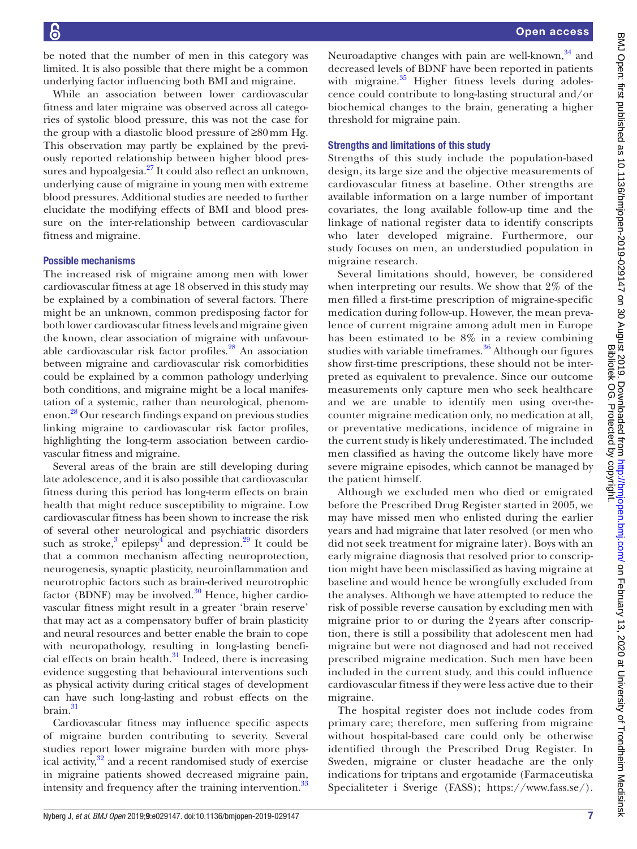be noted that the number of men in this category was limited. It is also possible that there might be a common underlying factor influencing both BMI and migraine.

While an association between lower cardiovascular fitness and later migraine was observed across all categories of systolic blood pressure, this was not the case for the group with a diastolic blood pressure of ≥80mm Hg. This observation may partly be explained by the previously reported relationship between higher blood pressures and hypoalgesia. $27$  It could also reflect an unknown, underlying cause of migraine in young men with extreme blood pressures. Additional studies are needed to further elucidate the modifying effects of BMI and blood pressure on the inter-relationship between cardiovascular fitness and migraine.

#### Possible mechanisms

The increased risk of migraine among men with lower cardiovascular fitness at age 18 observed in this study may be explained by a combination of several factors. There might be an unknown, common predisposing factor for both lower cardiovascular fitness levels and migraine given the known, clear association of migraine with unfavour-able cardiovascular risk factor profiles.<sup>[28](#page-8-18)</sup> An association between migraine and cardiovascular risk comorbidities could be explained by a common pathology underlying both conditions, and migraine might be a local manifestation of a systemic, rather than neurological, phenomenon.[28](#page-8-18) Our research findings expand on previous studies linking migraine to cardiovascular risk factor profiles, highlighting the long-term association between cardiovascular fitness and migraine.

Several areas of the brain are still developing during late adolescence, and it is also possible that cardiovascular fitness during this period has long-term effects on brain health that might reduce susceptibility to migraine. Low cardiovascular fitness has been shown to increase the risk of several other neurological and psychiatric disorders such as stroke,<sup>3</sup> epilepsy<sup>[4](#page-8-20)</sup> and depression.<sup>29</sup> It could be that a common mechanism affecting neuroprotection, neurogenesis, synaptic plasticity, neuroinflammation and neurotrophic factors such as brain-derived neurotrophic factor (BDNF) may be involved. $30$  Hence, higher cardiovascular fitness might result in a greater 'brain reserve' that may act as a compensatory buffer of brain plasticity and neural resources and better enable the brain to cope with neuropathology, resulting in long-lasting beneficial effects on brain health. $31$  Indeed, there is increasing evidence suggesting that behavioural interventions such as physical activity during critical stages of development can have such long-lasting and robust effects on the  $brain$ <sup>31</sup>

Cardiovascular fitness may influence specific aspects of migraine burden contributing to severity. Several studies report lower migraine burden with more physical activity, $32$  and a recent randomised study of exercise in migraine patients showed decreased migraine pain, intensity and frequency after the training intervention.<sup>33</sup>

Neuroadaptive changes with pain are well-known,  $34$  and decreased levels of BDNF have been reported in patients with migraine.<sup>35</sup> Higher fitness levels during adolescence could contribute to long-lasting structural and/or biochemical changes to the brain, generating a higher threshold for migraine pain.

#### Strengths and limitations of this study

Strengths of this study include the population-based design, its large size and the objective measurements of cardiovascular fitness at baseline. Other strengths are available information on a large number of important covariates, the long available follow-up time and the linkage of national register data to identify conscripts who later developed migraine. Furthermore, our study focuses on men, an understudied population in migraine research.

Several limitations should, however, be considered when interpreting our results. We show that 2% of the men filled a first-time prescription of migraine-specific medication during follow-up. However, the mean prevalence of current migraine among adult men in Europe has been estimated to be 8% in a review combining studies with variable timeframes.<sup>[36](#page-8-28)</sup> Although our figures show first-time prescriptions, these should not be interpreted as equivalent to prevalence. Since our outcome measurements only capture men who seek healthcare and we are unable to identify men using over-thecounter migraine medication only, no medication at all, or preventative medications, incidence of migraine in the current study is likely underestimated. The included men classified as having the outcome likely have more severe migraine episodes, which cannot be managed by the patient himself.

Although we excluded men who died or emigrated before the Prescribed Drug Register started in 2005, we may have missed men who enlisted during the earlier years and had migraine that later resolved (or men who did not seek treatment for migraine later). Boys with an early migraine diagnosis that resolved prior to conscription might have been misclassified as having migraine at baseline and would hence be wrongfully excluded from the analyses. Although we have attempted to reduce the risk of possible reverse causation by excluding men with migraine prior to or during the 2 years after conscription, there is still a possibility that adolescent men had migraine but were not diagnosed and had not received prescribed migraine medication. Such men have been included in the current study, and this could influence cardiovascular fitness if they were less active due to their migraine.

The hospital register does not include codes from primary care; therefore, men suffering from migraine without hospital-based care could only be otherwise identified through the Prescribed Drug Register. In Sweden, migraine or cluster headache are the only indications for triptans and ergotamide (Farmaceutiska Specialiteter i Sverige (FASS); [https://www.fass.se/\)](https://www.fass.se/).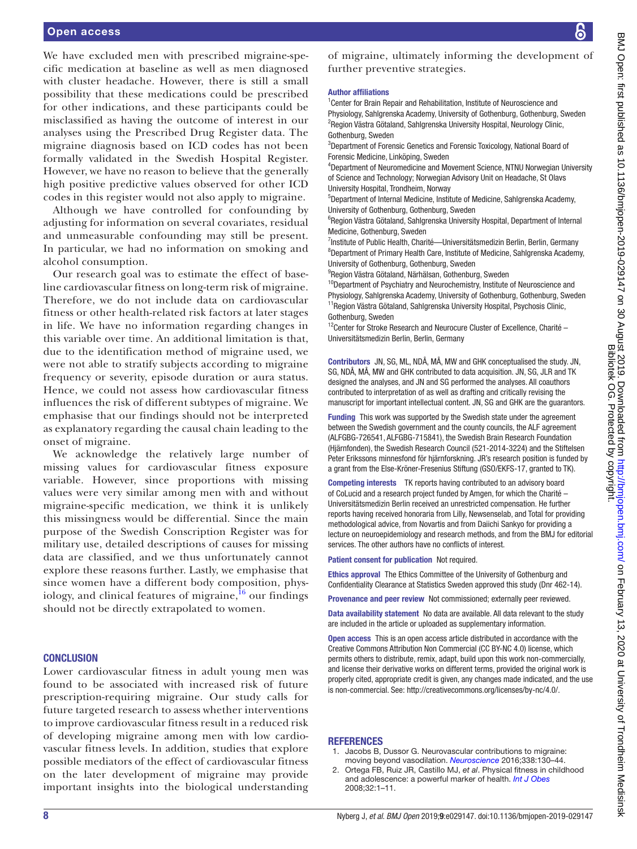We have excluded men with prescribed migraine-specific medication at baseline as well as men diagnosed with cluster headache. However, there is still a small possibility that these medications could be prescribed for other indications, and these participants could be misclassified as having the outcome of interest in our analyses using the Prescribed Drug Register data. The migraine diagnosis based on ICD codes has not been formally validated in the Swedish Hospital Register. However, we have no reason to believe that the generally high positive predictive values observed for other ICD codes in this register would not also apply to migraine.

Although we have controlled for confounding by adjusting for information on several covariates, residual and unmeasurable confounding may still be present. In particular, we had no information on smoking and alcohol consumption.

Our research goal was to estimate the effect of baseline cardiovascular fitness on long-term risk of migraine. Therefore, we do not include data on cardiovascular fitness or other health-related risk factors at later stages in life. We have no information regarding changes in this variable over time. An additional limitation is that, due to the identification method of migraine used, we were not able to stratify subjects according to migraine frequency or severity, episode duration or aura status. Hence, we could not assess how cardiovascular fitness influences the risk of different subtypes of migraine. We emphasise that our findings should not be interpreted as explanatory regarding the causal chain leading to the onset of migraine.

We acknowledge the relatively large number of missing values for cardiovascular fitness exposure variable. However, since proportions with missing values were very similar among men with and without migraine-specific medication, we think it is unlikely this missingness would be differential. Since the main purpose of the Swedish Conscription Register was for military use, detailed descriptions of causes for missing data are classified, and we thus unfortunately cannot explore these reasons further. Lastly, we emphasise that since women have a different body composition, physiology, and clinical features of migraine, $^{16}$  our findings should not be directly extrapolated to women.

#### **CONCLUSION**

Lower cardiovascular fitness in adult young men was found to be associated with increased risk of future prescription-requiring migraine. Our study calls for future targeted research to assess whether interventions to improve cardiovascular fitness result in a reduced risk of developing migraine among men with low cardiovascular fitness levels. In addition, studies that explore possible mediators of the effect of cardiovascular fitness on the later development of migraine may provide important insights into the biological understanding

of migraine, ultimately informing the development of further preventive strategies.

#### Author affiliations

<sup>1</sup> Center for Brain Repair and Rehabilitation, Institute of Neuroscience and Physiology, Sahlgrenska Academy, University of Gothenburg, Gothenburg, Sweden <sup>2</sup>Region Västra Götaland, Sahlgrenska University Hospital, Neurology Clinic, Gothenburg, Sweden

<sup>3</sup>Department of Forensic Genetics and Forensic Toxicology, National Board of Forensic Medicine, Linköping, Sweden

4 Department of Neuromedicine and Movement Science, NTNU Norwegian University of Science and Technology; Norwegian Advisory Unit on Headache, St Olavs University Hospital, Trondheim, Norway

5 Department of Internal Medicine, Institute of Medicine, Sahlgrenska Academy, University of Gothenburg, Gothenburg, Sweden

<sup>6</sup>Region Västra Götaland, Sahlgrenska University Hospital, Department of Internal Medicine, Gothenburg, Sweden

<sup>7</sup>Institute of Public Health, Charité--Universitätsmedizin Berlin, Berlin, Germany <sup>8</sup>Department of Primary Health Care, Institute of Medicine, Sahlgrenska Academy, University of Gothenburg, Gothenburg, Sweden

<sup>9</sup>Region Västra Götaland, Närhälsan, Gothenburg, Sweden

<sup>10</sup>Department of Psychiatry and Neurochemistry, Institute of Neuroscience and Physiology, Sahlgrenska Academy, University of Gothenburg, Gothenburg, Sweden <sup>11</sup> Region Västra Götaland, Sahlgrenska University Hospital, Psychosis Clinic, Gothenburg, Sweden

 $12$ Center for Stroke Research and Neurocure Cluster of Excellence, Charité – Universitätsmedizin Berlin, Berlin, Germany

Contributors JN, SG, ML, NDÅ, MÅ, MW and GHK conceptualised the study. JN, SG, NDÅ, MÅ, MW and GHK contributed to data acquisition. JN, SG, JLR and TK designed the analyses, and JN and SG performed the analyses. All coauthors contributed to interpretation of as well as drafting and critically revising the manuscript for important intellectual content. JN, SG and GHK are the guarantors.

Funding This work was supported by the Swedish state under the agreement between the Swedish government and the county councils, the ALF agreement (ALFGBG-726541, ALFGBG-715841), the Swedish Brain Research Foundation (Hjärnfonden), the Swedish Research Council (521-2014-3224) and the Stiftelsen Peter Erikssons minnesfond för hjärnforskning. JR's research position is funded by a grant from the Else-Kröner-Fresenius Stiftung (GSO/EKFS-17, granted to TK).

Competing interests TK reports having contributed to an advisory board of CoLucid and a research project funded by Amgen, for which the Charité – Universitätsmedizin Berlin received an unrestricted compensation. He further reports having received honoraria from Lilly, Newsenselab, and Total for providing methodological advice, from Novartis and from Daiichi Sankyo for providing a lecture on neuroepidemiology and research methods, and from the BMJ for editorial services. The other authors have no conflicts of interest.

Patient consent for publication Not required.

Ethics approval The Ethics Committee of the University of Gothenburg and Confidentiality Clearance at Statistics Sweden approved this study (Dnr 462-14).

Provenance and peer review Not commissioned; externally peer reviewed.

Data availability statement No data are available. All data relevant to the study are included in the article or uploaded as supplementary information.

Open access This is an open access article distributed in accordance with the Creative Commons Attribution Non Commercial (CC BY-NC 4.0) license, which permits others to distribute, remix, adapt, build upon this work non-commercially, and license their derivative works on different terms, provided the original work is properly cited, appropriate credit is given, any changes made indicated, and the use is non-commercial. See: [http://creativecommons.org/licenses/by-nc/4.0/.](http://creativecommons.org/licenses/by-nc/4.0/)

#### **REFERENCES**

- <span id="page-7-0"></span>Jacobs B, Dussor G. Neurovascular contributions to migraine: moving beyond vasodilation. *[Neuroscience](http://dx.doi.org/10.1016/j.neuroscience.2016.06.012)* 2016;338:130–44.
- <span id="page-7-1"></span>2. Ortega FB, Ruiz JR, Castillo MJ, *et al*. Physical fitness in childhood and adolescence: a powerful marker of health. *[Int J Obes](http://dx.doi.org/10.1038/sj.ijo.0803774)* 2008;32:1–11.